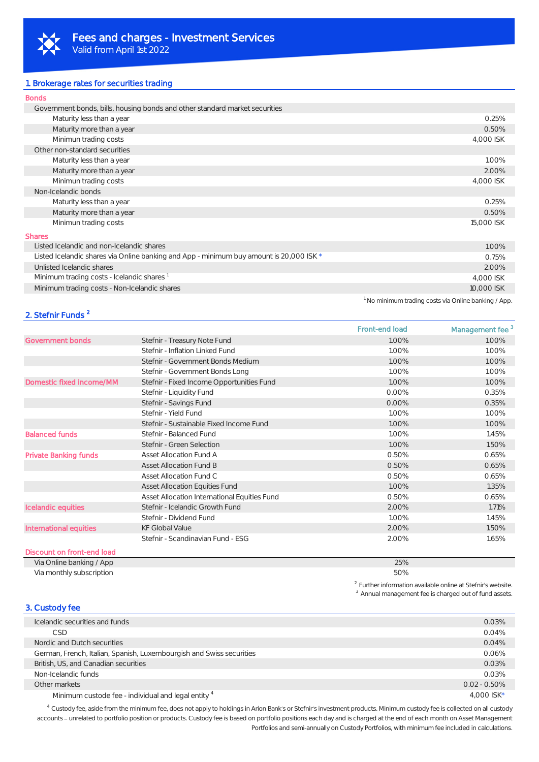

#### 1. Brokerage rates for securities trading

| <b>Bonds</b>                                                                            |            |
|-----------------------------------------------------------------------------------------|------------|
| Government bonds, bills, housing bonds and other standard market securities             |            |
| Maturity less than a year                                                               | 0.25%      |
| Maturity more than a year                                                               | 0.50%      |
| Minimun trading costs                                                                   | 4,000 ISK  |
| Other non-standard securities                                                           |            |
| Maturity less than a year                                                               | 1.00%      |
| Maturity more than a year                                                               | 2.00%      |
| Minimun trading costs                                                                   | 4,000 ISK  |
| Non-Icelandic bonds                                                                     |            |
| Maturity less than a year                                                               | 0.25%      |
| Maturity more than a year                                                               | 0.50%      |
| Minimun trading costs                                                                   | 15,000 ISK |
| <b>Shares</b>                                                                           |            |
| Listed Icelandic and non-Icelandic shares                                               | 1.00%      |
| Listed Icelandic shares via Online banking and App - minimum buy amount is 20,000 ISK * | 0.75%      |
| Unlisted Icelandic shares                                                               | 2.00%      |
| Minimum trading costs - Icelandic shares                                                | 4,000 ISK  |
| Minimum trading costs - Non-Icelandic shares                                            | 10,000 ISK |
|                                                                                         |            |

### 2. Stefnir Funds <sup>2</sup>

Front-end load Management fee 3 Government bonds Stefnir - Treasury Note Fund 1.00% 1.00% 1.00% 1.00% 1.00% 1.00% Stefnir - Inflation Linked Fund 1.00% 1.00% 1.00% 1.00% 1.00% Stefnir - Government Bonds Medium 1.00% 1.00% 1.00% 1.00% 1.00% Stefnir - Government Bonds Long 1.00% 1.00% 1.00% 1.00% 1.00% Domestic fixed income/MM Stefnir - Fixed Income Opportunities Fund 1.00% 1.00% 1.00% 1.00% Stefnir - Liquidity Fund 0.35% 0.35% 0.00% 0.35% 0.35% 0.35% 0.35% 0.35% 0.35% 0.35% 0.35% 0.35% 0.35% 0.35% 0.35% 0.35% 0.35% 0.35% 0.35% 0.35% 0.35% 0.35% 0.35% 0.35% 0.35% 0.35% 0.35% 0.35% 0.35% 0.35% 0.35% 0.35% 0.35% Stefnir - Savings Fund 0.00% 0.35% 0.35% 0.35% 0.35% 0.35% 0.35% 0.35% 0.35% 0.35% 0.35% 0.35% 0.35% 0.35% 0.35% 0.35% 0.35% 0.35% 0.35% 0.35% 0.35% 0.35% 0.35% 0.35% 0.35% 0.35% 0.35% 0.35% 0.35% 0.35% 0.35% 0.35% 0.35% 0 Stefnir - Yield Fund 1.00% 1.00% 1.00% 1.00% 1.00% 1.00% 1.00% 1.00% 1.00% 1.00% 1.00% 1.00% 1.00% 1.00% 1.00% 1.00% 1.00% 1.00% 1.00% 1.00% 1.00% 1.00% 1.00% 1.00% 1.00% 1.00% 1.00% 1.00% 1.00% 1.00% 1.00% 1.00% 1.00% 1.0 Stefnir - Sustainable Fixed Income Fund 1.00% 1.00% 1.00% 1.00% 1.00% Balanced funds **Stefnir - Balanced Fund** 1.00% 1.00% 1.45% Stefnir - Green Selection 1.50% 1.50% 1.50% 1.50% 1.50% 1.50% 1.50% 1.50% 1.50% 1.50% 1.50% 1.50% 1.50% 1.50% 1.50% 1.50% 1.50% 1.50% 1.50% 1.50% 1.50% 1.50% 1.50% 1.50% 1.50% 1.50% 1.50% 1.50% 1.50% 1.50% 1.50% 1.50% 1.50 Private Banking funds **Asset Allocation Fund A** 6.5% 0.50% 0.50% 0.65% 0.65% 0.65% 0.65% 0.65% 0.65% 0.65% 0.65% 0.65% 0.65% 0.65% 0.65% 0.65% 0.65% 0.65% 0.65% 0.65% 0.65% 0.65% 0.65% 0.65% 0.65% 0.65% 0.65% 0.65% 0.65% 0 Asset Allocation Fund B 0.50% 0.65% 0.65% 0.65% 0.65% 0.65% 0.65% 0.65% 0.65% 0.65% 0.65% 0.65% 0.65% 0.65% 0.65% 0.65% 0.65% 0.65% 0.65% 0.65% 0.65% 0.65% 0.65% 0.65% 0.65% 0.65% 0.65% 0.65% 0.65% 0.65% 0.65% 0.65% 0.65% Asset Allocation Fund C 0.50% 0.50% 0.65% 0.65% Asset Allocation Equities Fund 1.00% 1.35% 1.35% 1.35% 1.35% 1.35% 1.35% 1.35% 1.35% 1.35% 1.35% 1.35% 1.35% 1.35% 1.35% 1.35% 1.35% 1.35% 1.35% 1.35% 1.35% 1.35% 1.35% 1.35% 1.35% 1.35% 1.35% 1.35% 1.35% 1.35% 1.35% 1.35% Asset Allocation International Equities Fund 0.50% 0.65% 0.65% 0.65% Icelandic equities Stefnir - Icelandic Growth Fund 2.00% 1.71% 1.71% 1.71% 1.71% 1.71% Stefnir - Dividend Fund 1.45% 1.45% 1.45% 1.45% 1.45% 1.45% 1.45% 1.45% 1.45% 1.45% 1.45% 1.45% 1.45% 1.45% 1.45% 1.45% 1.45% 1.45% 1.45% 1.45% 1.45% 1.45% 1.45% 1.45% 1.45% 1.45% 1.45% 1.45% 1.45% 1.45% 1.45% 1.45% 1.45% International equities  $kF$  Global Value 2.00% 1.50% 1.50% 1.50% 1.50% 1.50% 1.50% 1.50% 1.50% 1.50% 1.50% 1.50% 1.50% 1.50% 1.50% 1.50% 1.50% 1.50% 1.50% 1.50% 1.50% 1.50% 1.50% 1.50% 1.50% 1.50% 1.50% 1.50% 1.50% 1.50% 1 Stefnir - Scandinavian Fund - ESG 2.00% 1.65% 1.65% Discount on front-end load

## Via Online banking / App 25%

Via monthly subscription 50%

*2 Further information available online at Stefnir's website. 3 Annual management fee is charged out of fund assets.*

*<sup>1</sup>No minimum trading costs via Online banking / App.*

### 3. Custody fee Icelandic securities and funds 0.03%  $\text{CSD}$  0.04% and 0.04% and 0.04% and 0.04% and 0.04% and 0.04% and 0.04% and 0.04% and 0.04% Nordic and Dutch securities 0.04% German, French, Italian, Spanish, Luxembourgish and Swiss securities 0.06% of the Suite of the Suite of the OCOS of the OCOS of the OCOS of the OCOS of the OCOS of the OCOS of the OCOS of the OCOS of the OCOS of the OCOS o British, US, and Canadian securities **0.03%** and Canadian securities **0.03%** and Canadian securities **0.03%** Non-Icelandic funds 0.03% Other markets 0.02 - 0.50% Minimum custode fee - individual and legal entity <sup>4</sup>  $\frac{4,000 \text{ ISK}}{4,000 \text{ ISK}}$

*<sup>4</sup>Custody fee, aside from the minimum fee, does not apply to holdings in Arion Bank s or Stefnir s investment products. Minimum custody fee is collected on all custody*  accounts - unrelated to portfolio position or products. Custody fee is based on portfolio positions each day and is charged at the end of each month on Asset Management *Portfolios and semi-annually on Custody Portfolios, with minimum fee included in calculations.*